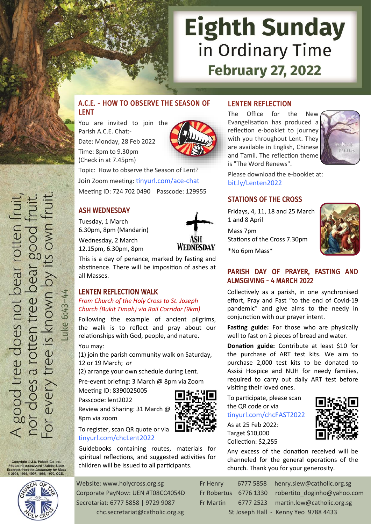# **Eighth Sunday** in Ordinary Time **February 27, 2022**

# A.C.E. - HOW TO OBSERVE THE SEASON OF LENT

You are invited to join the Parish A.C.E. Chat:- Date: Monday, 28 Feb 2022 Time: 8pm to 9.30pm (Check in at 7.45pm)

Topic: How to observe the Season of Lent? Join Zoom meeting: [tinyurl.com/ace](https://tinyurl.com/ace-chat)-chat Meeting ID: 724 702 0490 Passcode: 129955

### ASH WEDNESDAY

Tuesday, 1 March 6.30pm, 8pm (Mandarin) Wednesday, 2 March

12.15pm, 6.30pm, 8pm

**WEDNESDAY** 

This is a day of penance, marked by fasting and abstinence. There will be imposition of ashes at all Masses.

### LENTEN REFLECTION WALK

*From Church of the Holy Cross to St. Joseph Church (Bukit Timah) via Rail Corridor (9km)*

Following the example of ancient pilgrims, the walk is to reflect and pray about our relationships with God, people, and nature.

You may:

-uke 6:43-

(1) join the parish community walk on Saturday, 12 or 19 March; *or*

(2) arrange your own schedule during Lent.

Pre-event briefing: 3 March @ 8pm via Zoom Meeting ID: 8390025005

Passcode: lent2022

Review and Sharing: 31 March @ 8pm via zoom



Guidebooks containing routes, materials for spiritual reflections, and suggested activities for children will be issued to all participants.

### LENTEN REFLECTION

The Office for the New Evangelisation has produced a reflection e-booklet to journey with you throughout Lent. They are available in English, Chinese and Tamil. The reflection theme is "The Word Renews".



Please download the e-booklet at: [bit.ly/Lenten2022](https://bit.ly/Lenten2022)

### STATIONS OF THE CROSS

Fridays, 4, 11, 18 and 25 March 1 and 8 April

Mass 7pm Stations of the Cross 7.30pm

\*No 6pm Mass\*



### PARISH DAY OF PRAYER, FASTING AND ALMSGIVING - 4 MARCH 2022

Collectively as a parish, in one synchronised effort, Pray and Fast "to the end of Covid-19 pandemic" and give alms to the needy in conjunction with our prayer intent.

**Fasting guide:** For those who are physically well to fast on 2 pieces of bread and water.

**Donation guide:** Contribute at least \$10 for the purchase of ART test kits. We aim to purchase 2,000 test kits to be donated to Assisi Hospice and NUH for needy families, required to carry out daily ART test before visiting their loved ones.

To participate, please scan the QR code or via

### [tinyurl.com/chcFAST2022](https://tinyurl.com/chcFAST2022)

As at 25 Feb 2022: Target \$10,000 Collection: \$2,255



Any excess of the donation received will be channeled for the general operations of the church. Thank you for your generosity.



Copyright © J.S. Paluch Co. Inc. right © J.S. Paluch Co. Inc.<br>: © potowizard / Adobe Stock<br>s from the *Lectionary for Ma*: rpts from the *Lectionary for Mass*<br>01, 1998, 1997, 1986, 1970, CCD.

A good tree does not bear rotten fruit<br>nor does a rotten tree bear good fruit<br>For every tree is known by its own fruit

Website: www.holycross.org.sg Fr Henry 6777 5858 henry.siew@catholic.org.sg Corporate PayNow: UEN #T08CC4054D Fr Robertus 6776 1330 robertito\_doginho@yahoo.com Secretariat: 6777 5858 | 9729 9087 Fr Martin 6777 2523 martin.low@catholic.org.sg chc.secretariat@catholic.org.sg St Joseph Hall - Kenny Yeo 9788 4433